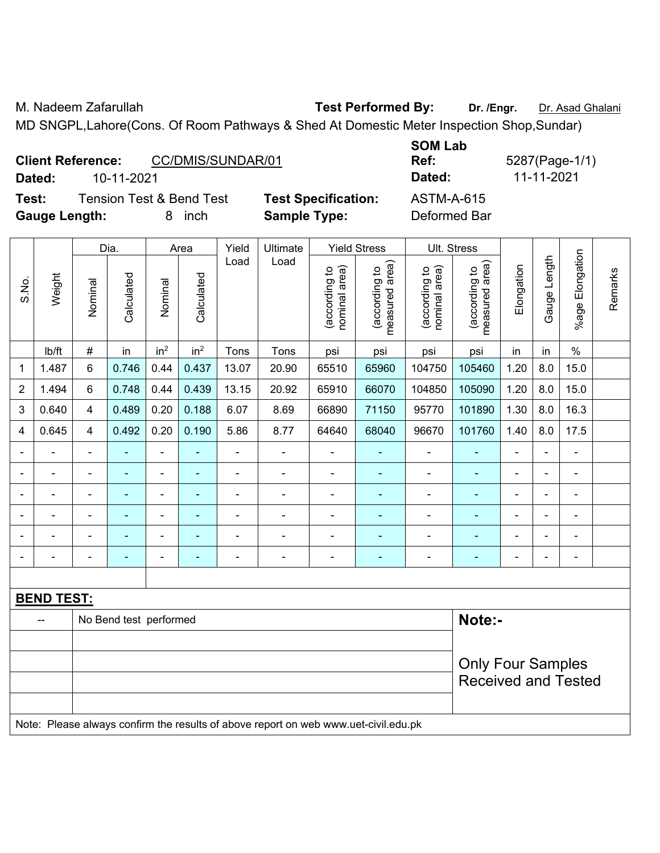M. Nadeem Zafarullah **Test Performed By:** Dr. /Engr. Dr. Asad Ghalani

MD SNGPL,Lahore(Cons. Of Room Pathways & Shed At Domestic Meter Inspection Shop,Sundar)

|                          |                   | _ _ _ _ _ _ _ _ _ |              |
|--------------------------|-------------------|-------------------|--------------|
| <b>Client Reference:</b> | CC/DMIS/SUNDAR/01 | Ref:              | 5287(Page-1/ |
| Dated:                   | 10-11-2021        | Dated:            | 11-11-2021   |

**Test:** Tension Test & Bend Test **Test Specification:** ASTM-A-615 **Gauge Length:** 8 inch **Sample Type:** Deformed Bar

**SOM Lab Ref:** 5287(Page-1/1)

|                          |                   |                                                | Dia.                   |                 | Area                            | Yield                          | Ultimate                        |                          | <b>Yield Stress</b> | Ult. Stress           |                            |                |                |                          |  |
|--------------------------|-------------------|------------------------------------------------|------------------------|-----------------|---------------------------------|--------------------------------|---------------------------------|--------------------------|---------------------|-----------------------|----------------------------|----------------|----------------|--------------------------|--|
| S.No.                    | Weight            | Calculated<br>Calculated<br>Nominal<br>Nominal | Load<br>Load           |                 | measured area)<br>(according to | (according to<br>nominal area) | measured area)<br>(according to | Elongation               | Gauge Length        | Elongation<br>$%$ age | Remarks                    |                |                |                          |  |
|                          | Ib/ft             | $\#$                                           | in                     | in <sup>2</sup> | in <sup>2</sup>                 | Tons                           | Tons                            | psi                      | psi                 | psi                   | psi                        | in             | in             | $\%$                     |  |
| $\mathbf 1$              | 1.487             | 6                                              | 0.746                  | 0.44            | 0.437                           | 13.07                          | 20.90                           | 65510                    | 65960               | 104750                | 105460                     | 1.20           | 8.0            | 15.0                     |  |
| $\sqrt{2}$               | 1.494             | 6                                              | 0.748                  | 0.44            | 0.439                           | 13.15                          | 20.92                           | 65910                    | 66070               | 104850                | 105090                     | 1.20           | 8.0            | 15.0                     |  |
| $\mathbf 3$              | 0.640             | 4                                              | 0.489                  | 0.20            | 0.188                           | 6.07                           | 8.69                            | 66890                    | 71150               | 95770                 | 101890                     | 1.30           | 8.0            | 16.3                     |  |
| 4                        | 0.645             | 4                                              | 0.492                  | 0.20            | 0.190                           | 5.86                           | 8.77                            | 64640                    | 68040               | 96670                 | 101760                     | 1.40           | 8.0            | 17.5                     |  |
| $\overline{\phantom{a}}$ |                   | ä,                                             |                        | ۰               | $\blacksquare$                  | ÷                              | $\blacksquare$                  | $\blacksquare$           | $\blacksquare$      | $\blacksquare$        | $\blacksquare$             | Ē,             |                | ä,                       |  |
| ٠                        |                   | $\blacksquare$                                 | ۰                      |                 | $\overline{\phantom{0}}$        | -                              |                                 |                          | -                   |                       |                            |                |                | $\overline{a}$           |  |
| $\blacksquare$           |                   |                                                | ۰                      | $\blacksquare$  | ٠                               | -                              | $\overline{\phantom{0}}$        |                          | ٠                   | $\blacksquare$        | ۰                          | Ē,             |                | $\blacksquare$           |  |
| $\overline{\phantom{a}}$ |                   |                                                |                        |                 |                                 |                                |                                 |                          | ۰                   |                       |                            |                |                | $\overline{\phantom{0}}$ |  |
| $\blacksquare$           | ۰                 | $\blacksquare$                                 | $\blacksquare$         | ۰               | $\overline{\phantom{0}}$        | $\blacksquare$                 | $\blacksquare$                  | $\blacksquare$           | ٠                   | $\blacksquare$        | ۰                          | $\blacksquare$ | $\blacksquare$ | $\blacksquare$           |  |
| $\overline{\phantom{0}}$ | ÷                 | Ē,                                             |                        |                 | ٠                               | ÷                              | $\overline{a}$                  | $\overline{\phantom{a}}$ | $\blacksquare$      | $\overline{a}$        | $\blacksquare$             | $\blacksquare$ |                | $\blacksquare$           |  |
|                          |                   |                                                |                        |                 |                                 |                                |                                 |                          |                     |                       |                            |                |                |                          |  |
|                          | <b>BEND TEST:</b> |                                                |                        |                 |                                 |                                |                                 |                          |                     |                       |                            |                |                |                          |  |
|                          |                   |                                                | No Bend test performed |                 |                                 |                                |                                 |                          |                     |                       | Note:-                     |                |                |                          |  |
|                          |                   |                                                |                        |                 |                                 |                                |                                 |                          |                     |                       |                            |                |                |                          |  |
|                          |                   |                                                |                        |                 |                                 |                                |                                 |                          |                     |                       | <b>Only Four Samples</b>   |                |                |                          |  |
|                          |                   |                                                |                        |                 |                                 |                                |                                 |                          |                     |                       | <b>Received and Tested</b> |                |                |                          |  |

Note: Please always confirm the results of above report on web www.uet-civil.edu.pk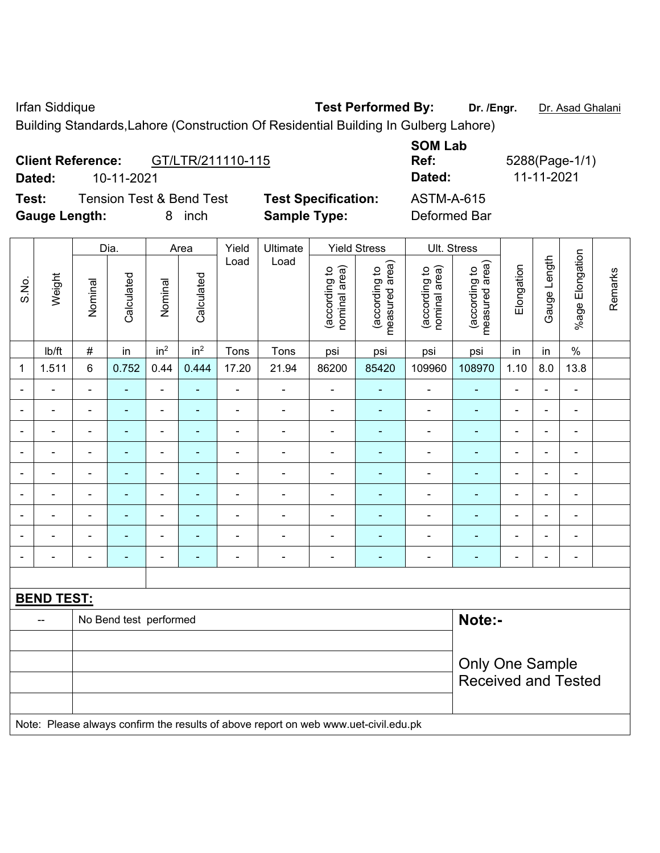Irfan Siddique **Test Performed By: Dr. /Engr.** Dr. Asad Ghalani

Building Standards,Lahore (Construction Of Residential Building In Gulberg Lahore)

| <b>Client Reference:</b> |            | GT/LTR/211110-115 |
|--------------------------|------------|-------------------|
| Dated:                   | 10-11-2021 |                   |

**Test:** Tension Test & Bend Test **Test Specification:** ASTM-A-615 **Gauge Length:** 8 inch **Sample Type:** Deformed Bar

**SOM Lab Ref:** 5288(Page-1/1) **Dated:** 10-11-2021 **Dated:** 11-11-2021

|                 |                   | Dia.                       |                        |                              | Area                     | Yield          | Ultimate                                                                            |                                | <b>Yield Stress</b>             |                                | Ult. Stress                     |                          |              |                              |         |
|-----------------|-------------------|----------------------------|------------------------|------------------------------|--------------------------|----------------|-------------------------------------------------------------------------------------|--------------------------------|---------------------------------|--------------------------------|---------------------------------|--------------------------|--------------|------------------------------|---------|
| Weight<br>S.No. |                   | Nominal                    | Calculated             | Nominal                      | Calculated               | Load           | Load                                                                                | nominal area)<br>(according to | (according to<br>measured area) | nominal area)<br>(according to | (according to<br>measured area) | Elongation               | Gauge Length | %age Elongation              | Remarks |
|                 | Ib/ft             | $\#$                       | in                     | in <sup>2</sup>              | in <sup>2</sup>          | Tons           | Tons                                                                                | psi                            | psi                             | psi                            | psi                             | in                       | in           | $\%$                         |         |
| $\mathbf{1}$    | 1.511             | $6\phantom{1}$             | 0.752                  | 0.44                         | 0.444                    | 17.20          | 21.94                                                                               | 86200                          | 85420                           | 109960                         | 108970                          | 1.10                     | 8.0          | 13.8                         |         |
|                 |                   | $\blacksquare$             | ä,                     | $\blacksquare$               |                          | $\blacksquare$ | $\blacksquare$                                                                      | $\blacksquare$                 | ٠                               | $\blacksquare$                 | $\blacksquare$                  | $\overline{\phantom{a}}$ |              | $\blacksquare$               |         |
| $\blacksquare$  |                   | $\blacksquare$             | $\blacksquare$         | ۰                            | ٠                        | $\blacksquare$ | $\blacksquare$                                                                      | $\blacksquare$                 | $\blacksquare$                  | $\blacksquare$                 | $\blacksquare$                  |                          | ÷            | $\blacksquare$               |         |
|                 |                   | $\blacksquare$             | $\blacksquare$         | $\qquad \qquad \blacksquare$ | $\overline{\phantom{0}}$ | $\blacksquare$ | $\blacksquare$                                                                      | $\blacksquare$                 | ٠                               | $\blacksquare$                 | $\blacksquare$                  | -                        | ÷            | $\qquad \qquad \blacksquare$ |         |
| ٠               |                   | $\blacksquare$             | $\blacksquare$         | $\blacksquare$               | ٠                        | $\blacksquare$ | $\blacksquare$                                                                      | $\blacksquare$                 | ٠                               | Ē,                             | $\blacksquare$                  | $\blacksquare$           | ä,           | $\blacksquare$               |         |
| $\blacksquare$  | $\blacksquare$    | $\blacksquare$             | $\blacksquare$         | $\blacksquare$               | $\overline{\phantom{0}}$ | $\blacksquare$ | $\blacksquare$                                                                      | $\blacksquare$                 | $\overline{\phantom{0}}$        | ÷,                             | $\blacksquare$                  | ä,                       | ÷,           | $\blacksquare$               |         |
|                 |                   | $\blacksquare$             | -                      | $\blacksquare$               |                          | ÷              | ä,                                                                                  | $\blacksquare$                 |                                 | Ē,                             | ä,                              | $\blacksquare$           |              | $\blacksquare$               |         |
|                 |                   |                            | -                      | ۰                            |                          |                |                                                                                     |                                |                                 | $\blacksquare$                 |                                 |                          | ٠            | ٠                            |         |
|                 |                   |                            | -                      | $\blacksquare$               |                          |                | -                                                                                   |                                |                                 | Ē,                             |                                 | $\blacksquare$           |              | Ē,                           |         |
| $\blacksquare$  |                   | $\blacksquare$             | $\blacksquare$         | $\blacksquare$               | $\blacksquare$           | $\blacksquare$ | $\blacksquare$                                                                      | $\blacksquare$                 | $\blacksquare$                  | $\blacksquare$                 | ÷                               | $\blacksquare$           | ä,           | $\blacksquare$               |         |
|                 |                   |                            |                        |                              |                          |                |                                                                                     |                                |                                 |                                |                                 |                          |              |                              |         |
|                 | <b>BEND TEST:</b> |                            |                        |                              |                          |                |                                                                                     |                                |                                 |                                |                                 |                          |              |                              |         |
|                 | --                |                            | No Bend test performed |                              |                          |                |                                                                                     |                                |                                 |                                | Note:-                          |                          |              |                              |         |
|                 |                   |                            |                        |                              |                          |                |                                                                                     |                                |                                 |                                |                                 |                          |              |                              |         |
|                 |                   | <b>Only One Sample</b>     |                        |                              |                          |                |                                                                                     |                                |                                 |                                |                                 |                          |              |                              |         |
|                 |                   | <b>Received and Tested</b> |                        |                              |                          |                |                                                                                     |                                |                                 |                                |                                 |                          |              |                              |         |
|                 |                   |                            |                        |                              |                          |                |                                                                                     |                                |                                 |                                |                                 |                          |              |                              |         |
|                 |                   |                            |                        |                              |                          |                | Note: Please always confirm the results of above report on web www.uet-civil.edu.pk |                                |                                 |                                |                                 |                          |              |                              |         |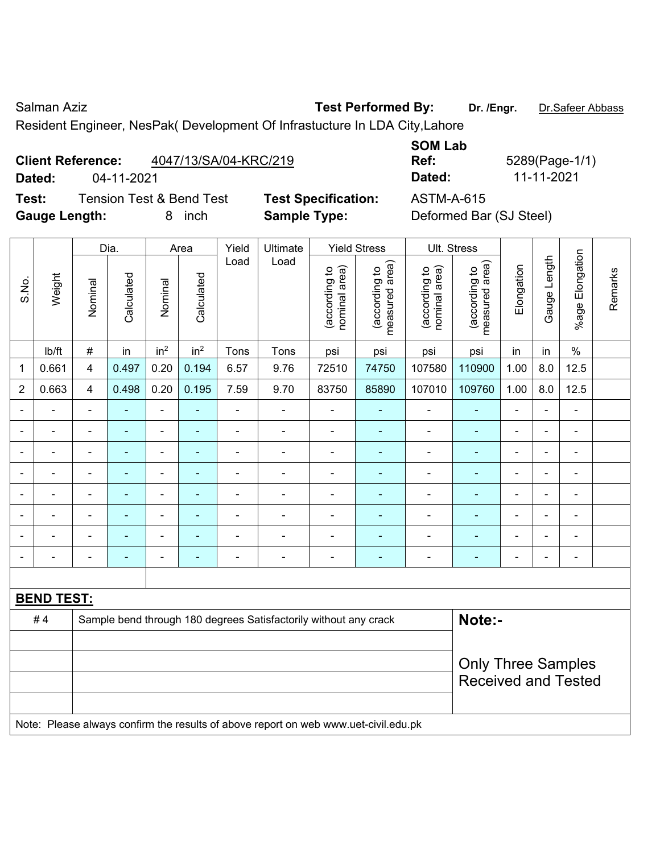Salman Aziz **Test Performed By:** Dr. /Engr. **Dr. Safeer Abbass** Dr. 75 after Abbass

Resident Engineer, NesPak( Development Of Infrastucture In LDA City,Lahore

| <b>Client Reference:</b> | 4047/13/SA/04-KRC/219 |
|--------------------------|-----------------------|
|                          |                       |

**Test:** Tension Test & Bend Test **Test Specification:** ASTM-A-615 **Gauge Length:** 8 inch **Sample Type:** Deformed Bar (SJ Steel)

**SOM Lab Ref:** 5289(Page-1/1) **Dated:** 04-11-2021 **Dated:** 11-11-2021

|                          |                   |                | Dia.                     |                              | Area                     | Yield                    | Ultimate                                                         |                                | <b>Yield Stress</b>             |                                | Ult. Stress                                             |                |                          |                 |         |
|--------------------------|-------------------|----------------|--------------------------|------------------------------|--------------------------|--------------------------|------------------------------------------------------------------|--------------------------------|---------------------------------|--------------------------------|---------------------------------------------------------|----------------|--------------------------|-----------------|---------|
| S.No.                    | Weight            | Nominal        | Calculated               | Nominal                      | Calculated               | Load                     | Load                                                             | nominal area)<br>(according to | measured area)<br>(according to | nominal area)<br>(according to | (according to<br>measured area)                         | Elongation     | Gauge Length             | %age Elongation | Remarks |
|                          | lb/ft             | $\#$           | in                       | in <sup>2</sup>              | in <sup>2</sup>          | Tons                     | Tons                                                             | psi                            | psi                             | psi                            | psi                                                     | in             | in                       | $\%$            |         |
| 1                        | 0.661             | 4              | 0.497                    | 0.20                         | 0.194                    | 6.57                     | 9.76                                                             | 72510                          | 74750                           | 107580                         | 110900                                                  | 1.00           | 8.0                      | 12.5            |         |
| $\overline{2}$           | 0.663             | $\overline{4}$ | 0.498                    | 0.20                         | 0.195                    | 7.59                     | 9.70                                                             | 83750                          | 85890                           | 107010                         | 109760                                                  | 1.00           | 8.0                      | 12.5            |         |
| $\blacksquare$           |                   | $\overline{a}$ | $\overline{\phantom{0}}$ | $\blacksquare$               |                          | $\blacksquare$           | ÷,                                                               | ä,                             |                                 | $\blacksquare$                 | $\blacksquare$                                          | $\blacksquare$ |                          | $\blacksquare$  |         |
| $\overline{\phantom{a}}$ | ۰                 | $\blacksquare$ | $\blacksquare$           | $\qquad \qquad \blacksquare$ | $\blacksquare$           | $\overline{\phantom{a}}$ | ÷,                                                               | $\blacksquare$                 | $\blacksquare$                  | $\blacksquare$                 | ٠                                                       | $\blacksquare$ | $\blacksquare$           | $\blacksquare$  |         |
| $\blacksquare$           | $\blacksquare$    | $\blacksquare$ | $\blacksquare$           | $\qquad \qquad \blacksquare$ | $\overline{\phantom{a}}$ | $\blacksquare$           | $\blacksquare$                                                   | Ē,                             | ٠                               | $\blacksquare$                 | $\blacksquare$                                          | $\blacksquare$ | $\overline{\phantom{0}}$ | ä,              |         |
|                          |                   | $\blacksquare$ | ÷                        | $\blacksquare$               | $\blacksquare$           | ÷                        | $\blacksquare$                                                   | ä,                             | ÷,                              | $\blacksquare$                 | $\blacksquare$                                          | $\blacksquare$ |                          | $\blacksquare$  |         |
| ۰                        |                   | ٠              |                          | $\blacksquare$               |                          | -                        | $\blacksquare$                                                   |                                |                                 | $\blacksquare$                 |                                                         |                |                          |                 |         |
| ۰                        |                   | Ē,             | $\blacksquare$           | $\blacksquare$               |                          | -                        | $\blacksquare$                                                   | Ē,                             | ٠                               | $\blacksquare$                 |                                                         | $\blacksquare$ | ÷                        | $\blacksquare$  |         |
| ۰                        |                   | $\blacksquare$ | $\blacksquare$           | $\blacksquare$               | $\overline{\phantom{a}}$ | $\overline{\phantom{a}}$ | $\blacksquare$                                                   | $\blacksquare$                 | ÷                               | $\blacksquare$                 | $\blacksquare$                                          | $\blacksquare$ | ÷                        | $\blacksquare$  |         |
| ۰                        | $\blacksquare$    | $\blacksquare$ | $\overline{\phantom{0}}$ | $\blacksquare$               | $\overline{\phantom{a}}$ | $\blacksquare$           | $\overline{\phantom{0}}$                                         | $\blacksquare$                 | $\overline{a}$                  | $\overline{\phantom{0}}$       | $\overline{\phantom{0}}$                                | $\blacksquare$ | $\blacksquare$           | $\blacksquare$  |         |
|                          |                   |                |                          |                              |                          |                          |                                                                  |                                |                                 |                                |                                                         |                |                          |                 |         |
|                          | <b>BEND TEST:</b> |                |                          |                              |                          |                          |                                                                  |                                |                                 |                                |                                                         |                |                          |                 |         |
|                          | #4                |                |                          |                              |                          |                          | Sample bend through 180 degrees Satisfactorily without any crack |                                |                                 |                                | Note:-                                                  |                |                          |                 |         |
|                          |                   |                |                          |                              |                          |                          |                                                                  |                                |                                 |                                |                                                         |                |                          |                 |         |
|                          |                   |                |                          |                              |                          |                          |                                                                  |                                |                                 |                                |                                                         |                |                          |                 |         |
|                          |                   |                |                          |                              |                          |                          |                                                                  |                                |                                 |                                | <b>Only Three Samples</b><br><b>Received and Tested</b> |                |                          |                 |         |
|                          |                   |                |                          |                              |                          |                          |                                                                  |                                |                                 |                                |                                                         |                |                          |                 |         |
|                          |                   |                |                          |                              |                          |                          |                                                                  |                                |                                 |                                |                                                         |                |                          |                 |         |

Note: Please always confirm the results of above report on web www.uet-civil.edu.pk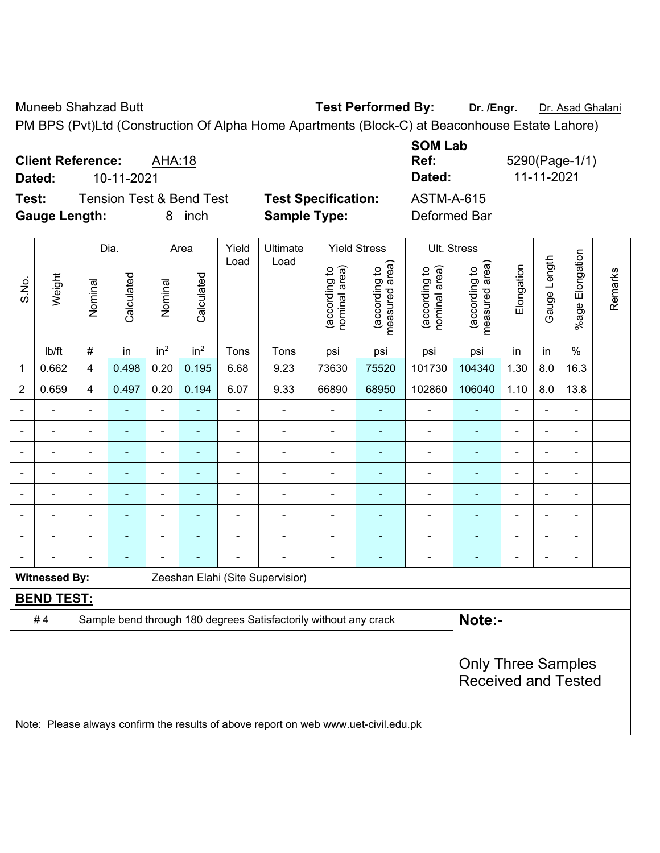Muneeb Shahzad Butt **Test Performed By: Dr. /Engr.** Dr. Asad Ghalani PM BPS (Pvt)Ltd (Construction Of Alpha Home Apartments (Block-C) at Beaconhouse Estate Lahore)

**Client Reference:** AHA:18 **Dated:** 10-11-2021 **Dated:** 11-11-2021 **Test:** Tension Test & Bend Test **Test Specification:** ASTM-A-615

**Gauge Length:** 8 inch **Sample Type:** Deformed Bar

**SOM Lab** 

**Ref:** 5290(Page-1/1)

Dia. | Area | Yield | Ultimate | Yield Stress | Ult. Stress %age Elongation %age Elongation Gauge Length Load Load Gauge Length (according to<br>measured area) measured area) (according to<br>measured area) measured area) (according to<br>nominal area) (according to<br>nominal area) Elongation **Elongation** nominal area) nominal area) (according to (according to (according to (according to Remarks Remarks **Calculated Calculated** Weight Calculated Calculated S.No. Nominal Nominal Vominal Vominal <code>ib/ft</code>  $\mid$  #  $\mid$  in  $\mid$  in<sup>2</sup>  $\mid$  in<sup>2</sup>  $\mid$  Tons  $\mid$  psi  $\mid$  psi  $\mid$  psi  $\mid$  psi  $\mid$  in  $\mid$  in  $\mid$  % 1 | 0.662 | 4 | 0.498 | 0.20 | 0.195 | 6.68 | 9.23 | 73630 | 75520 | 101730 | 104340 | 1.30 | 8.0 | 16.3 2 | 0.659 | 4 | 0.497 | 0.20 | 0.194 | 6.07 | 9.33 | 66890 | 68950 | 102860 | 106040 | 1.10 | 8.0 | 13.8 - - - - - - - - - - - - - - - - - - - - - - - - - - - - - - - - - - - - - - - - - - - - - - - - - - - - - - - - - - - - - - - - - - - - - - - - - - - - - - - - - - - - - - - - - - - - - - - - - - - - - - - - - - - - - - - - - - - - - - - - **Witnessed By: Zeeshan Elahi (Site Supervisior) BEND TEST:**  # 4 Sample bend through 180 degrees Satisfactorily without any crack **Note:-**Only Three Samples Received and Tested

Note: Please always confirm the results of above report on web www.uet-civil.edu.pk